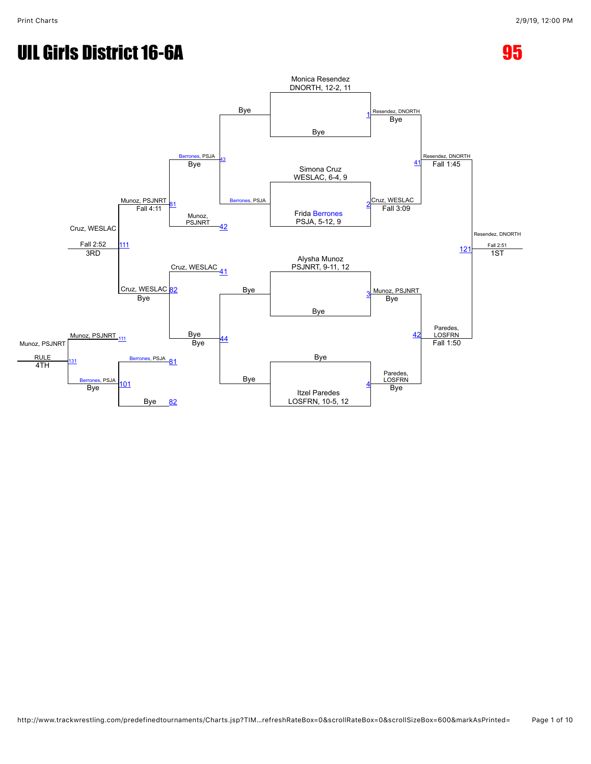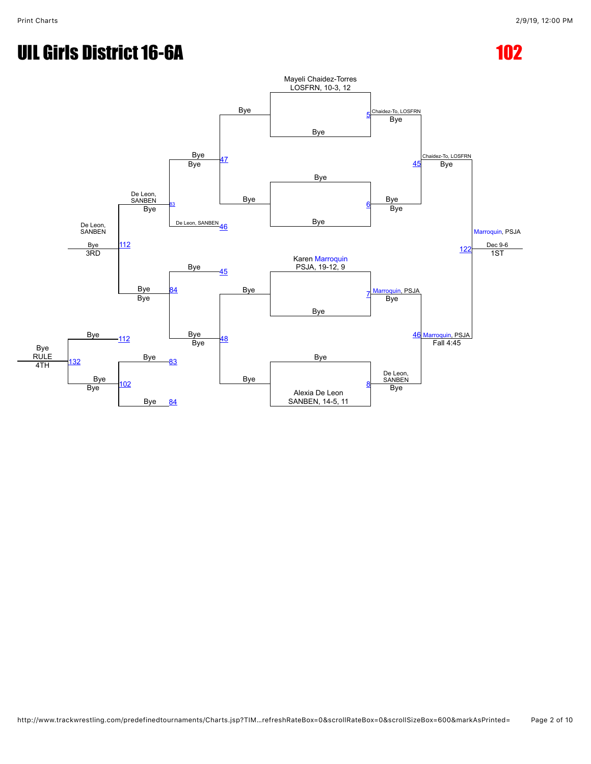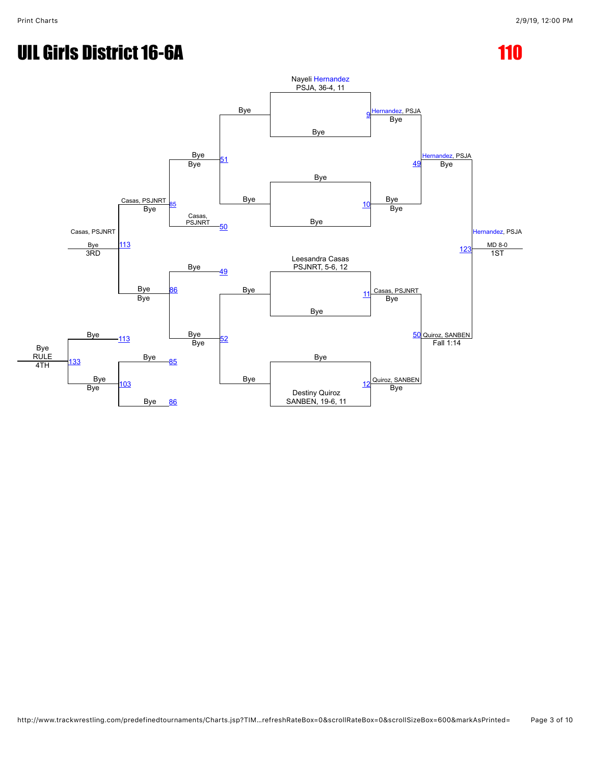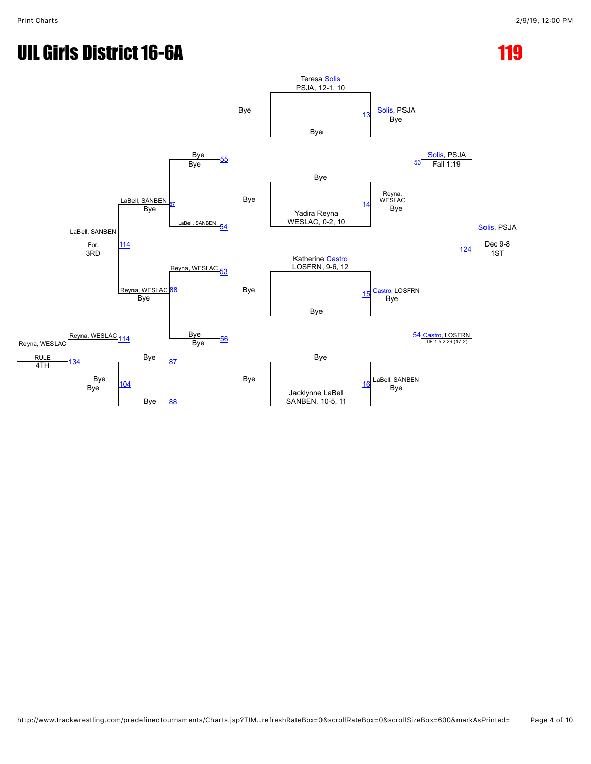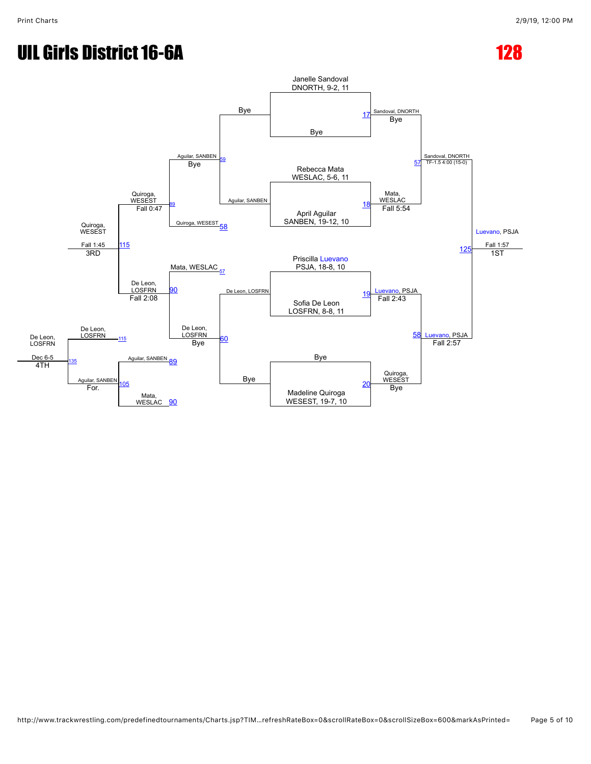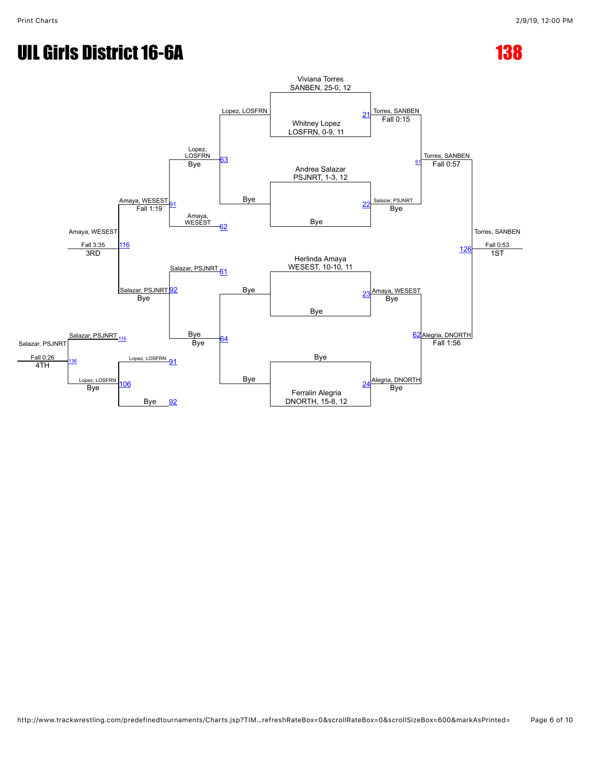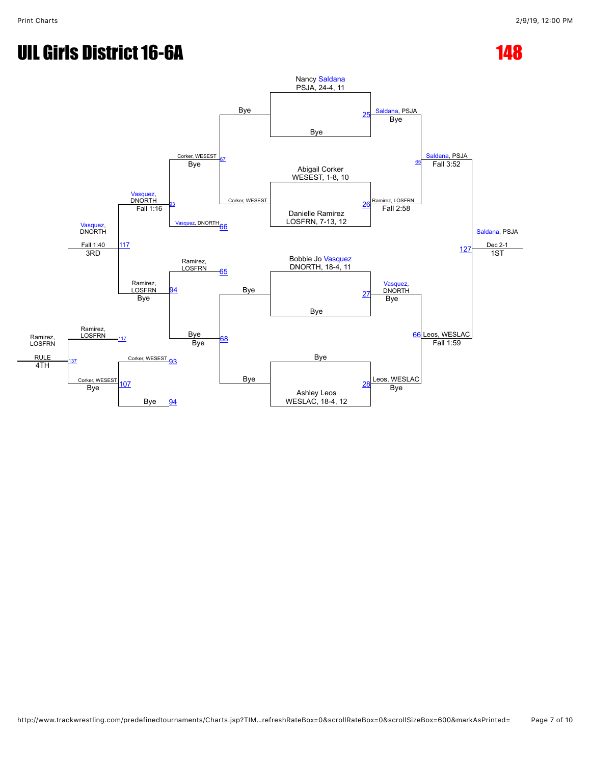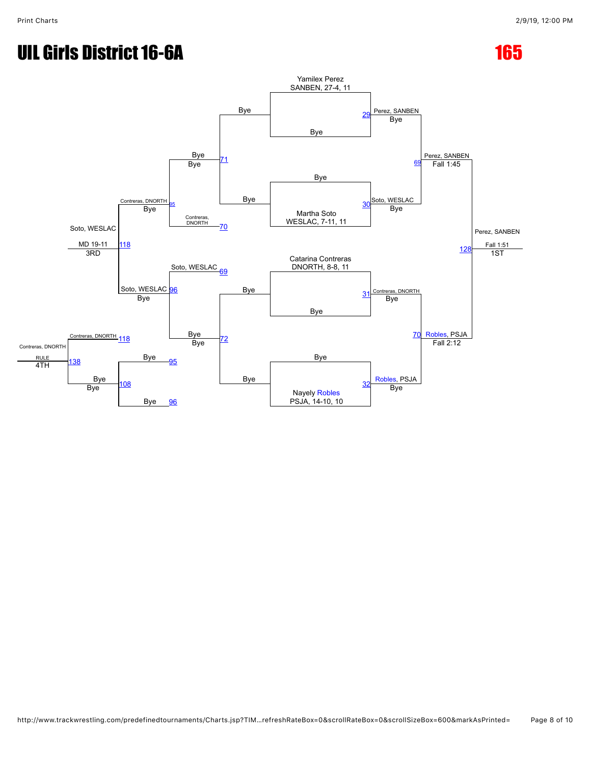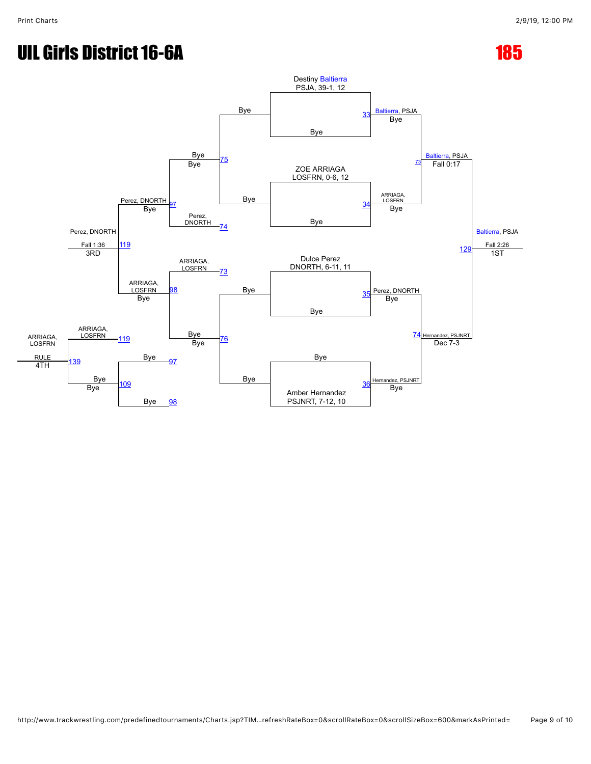